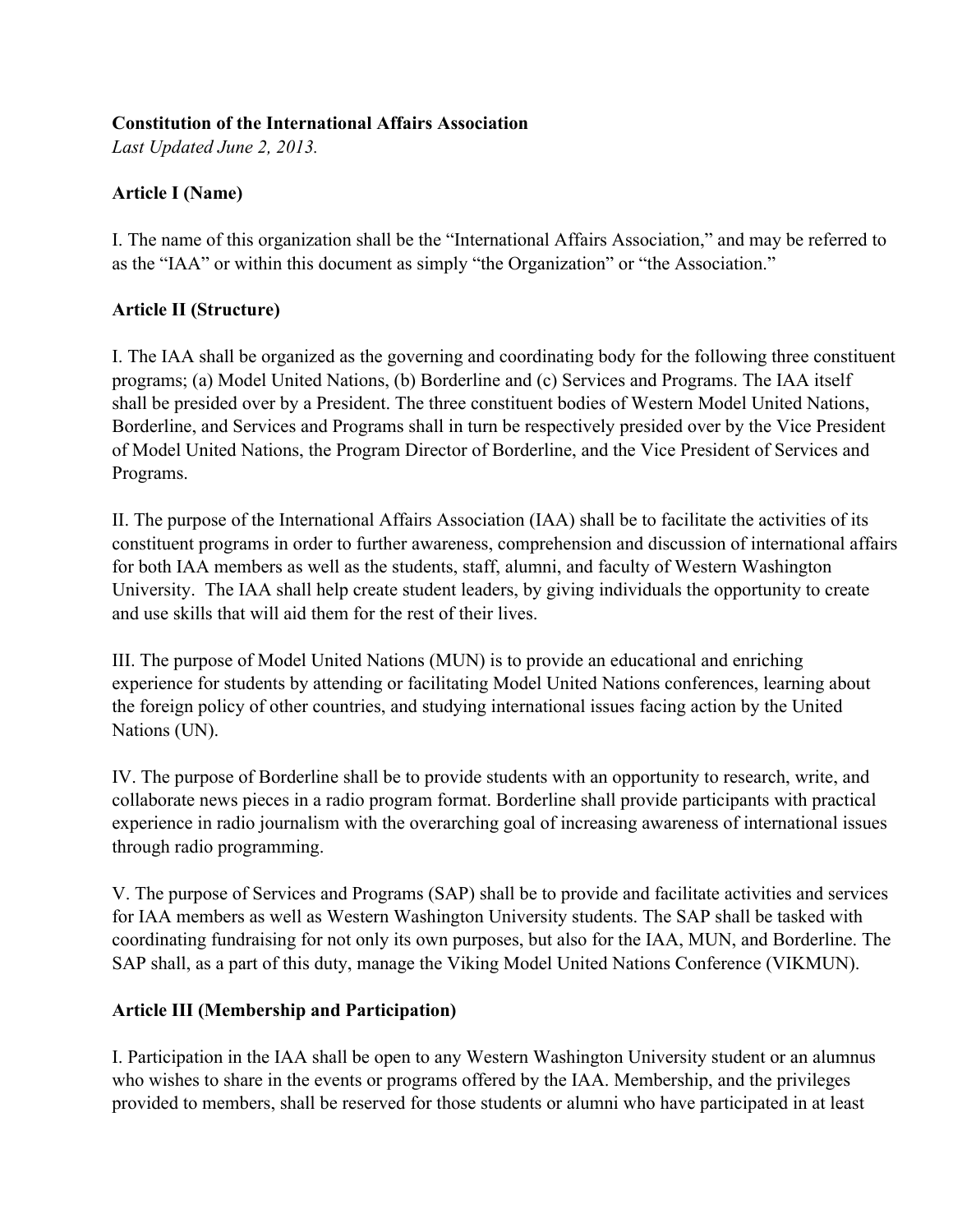#### **Constitution of the International Affairs Association**

*Last Updated June 2, 2013.*

# **Article I (Name)**

I. The name of this organization shall be the "International Affairs Association," and may be referred to as the "IAA" or within this document as simply "the Organization" or "the Association."

## **Article II (Structure)**

I. The IAA shall be organized as the governing and coordinating body for the following three constituent programs; (a) Model United Nations, (b) Borderline and (c) Services and Programs. The IAA itself shall be presided over by a President. The three constituent bodies of Western Model United Nations, Borderline, and Services and Programs shall in turn be respectively presided over by the Vice President of Model United Nations, the Program Director of Borderline, and the Vice President of Services and Programs.

II. The purpose of the International Affairs Association (IAA) shall be to facilitate the activities of its constituent programs in order to further awareness, comprehension and discussion of international affairs for both IAA members as well as the students, staff, alumni, and faculty of Western Washington University. The IAA shall help create student leaders, by giving individuals the opportunity to create and use skills that will aid them for the rest of their lives.

III. The purpose of Model United Nations (MUN) is to provide an educational and enriching experience for students by attending or facilitating Model United Nations conferences, learning about the foreign policy of other countries, and studying international issues facing action by the United Nations (UN).

IV. The purpose of Borderline shall be to provide students with an opportunity to research, write, and collaborate news pieces in a radio program format. Borderline shall provide participants with practical experience in radio journalism with the overarching goal of increasing awareness of international issues through radio programming.

V. The purpose of Services and Programs (SAP) shall be to provide and facilitate activities and services for IAA members as well as Western Washington University students. The SAP shall be tasked with coordinating fundraising for not only its own purposes, but also for the IAA, MUN, and Borderline. The SAP shall, as a part of this duty, manage the Viking Model United Nations Conference (VIKMUN).

## **Article III (Membership and Participation)**

I. Participation in the IAA shall be open to any Western Washington University student or an alumnus who wishes to share in the events or programs offered by the IAA. Membership, and the privileges provided to members, shall be reserved for those students or alumni who have participated in at least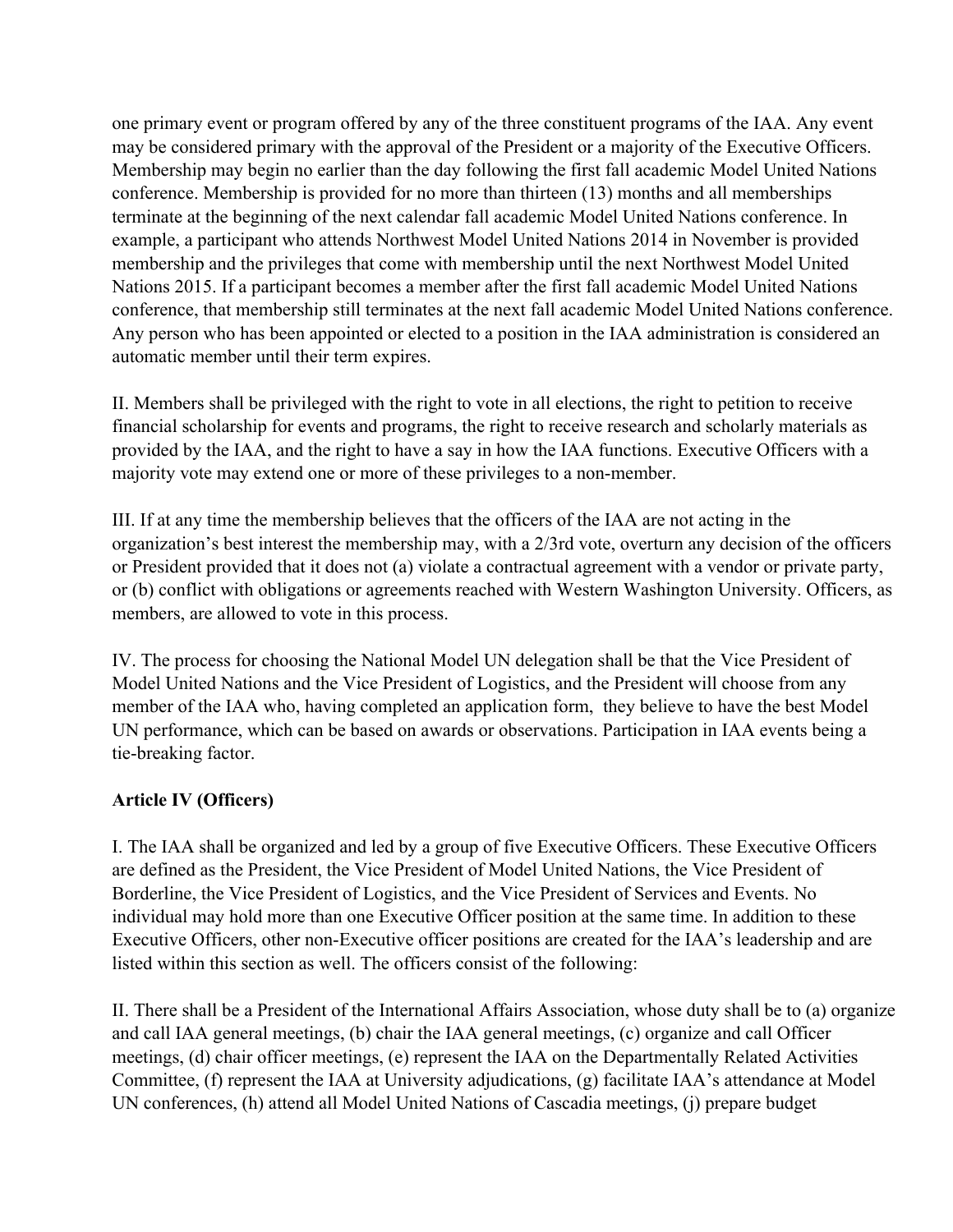one primary event or program offered by any of the three constituent programs of the IAA. Any event may be considered primary with the approval of the President or a majority of the Executive Officers. Membership may begin no earlier than the day following the first fall academic Model United Nations conference. Membership is provided for no more than thirteen (13) months and all memberships terminate at the beginning of the next calendar fall academic Model United Nations conference. In example, a participant who attends Northwest Model United Nations 2014 in November is provided membership and the privileges that come with membership until the next Northwest Model United Nations 2015. If a participant becomes a member after the first fall academic Model United Nations conference, that membership still terminates at the next fall academic Model United Nations conference. Any person who has been appointed or elected to a position in the IAA administration is considered an automatic member until their term expires.

II. Members shall be privileged with the right to vote in all elections, the right to petition to receive financial scholarship for events and programs, the right to receive research and scholarly materials as provided by the IAA, and the right to have a say in how the IAA functions. Executive Officers with a majority vote may extend one or more of these privileges to a non-member.

III. If at any time the membership believes that the officers of the IAA are not acting in the organization's best interest the membership may, with a 2/3rd vote, overturn any decision of the officers or President provided that it does not (a) violate a contractual agreement with a vendor or private party, or (b) conflict with obligations or agreements reached with Western Washington University. Officers, as members, are allowed to vote in this process.

IV. The process for choosing the National Model UN delegation shall be that the Vice President of Model United Nations and the Vice President of Logistics, and the President will choose from any member of the IAA who, having completed an application form, they believe to have the best Model UN performance, which can be based on awards or observations. Participation in IAA events being a tie-breaking factor.

## **Article IV (Officers)**

I. The IAA shall be organized and led by a group of five Executive Officers. These Executive Officers are defined as the President, the Vice President of Model United Nations, the Vice President of Borderline, the Vice President of Logistics, and the Vice President of Services and Events. No individual may hold more than one Executive Officer position at the same time. In addition to these Executive Officers, other non-Executive officer positions are created for the IAA's leadership and are listed within this section as well. The officers consist of the following:

II. There shall be a President of the International Affairs Association, whose duty shall be to (a) organize and call IAA general meetings, (b) chair the IAA general meetings, (c) organize and call Officer meetings, (d) chair officer meetings, (e) represent the IAA on the Departmentally Related Activities Committee, (f) represent the IAA at University adjudications, (g) facilitate IAA's attendance at Model UN conferences, (h) attend all Model United Nations of Cascadia meetings, (j) prepare budget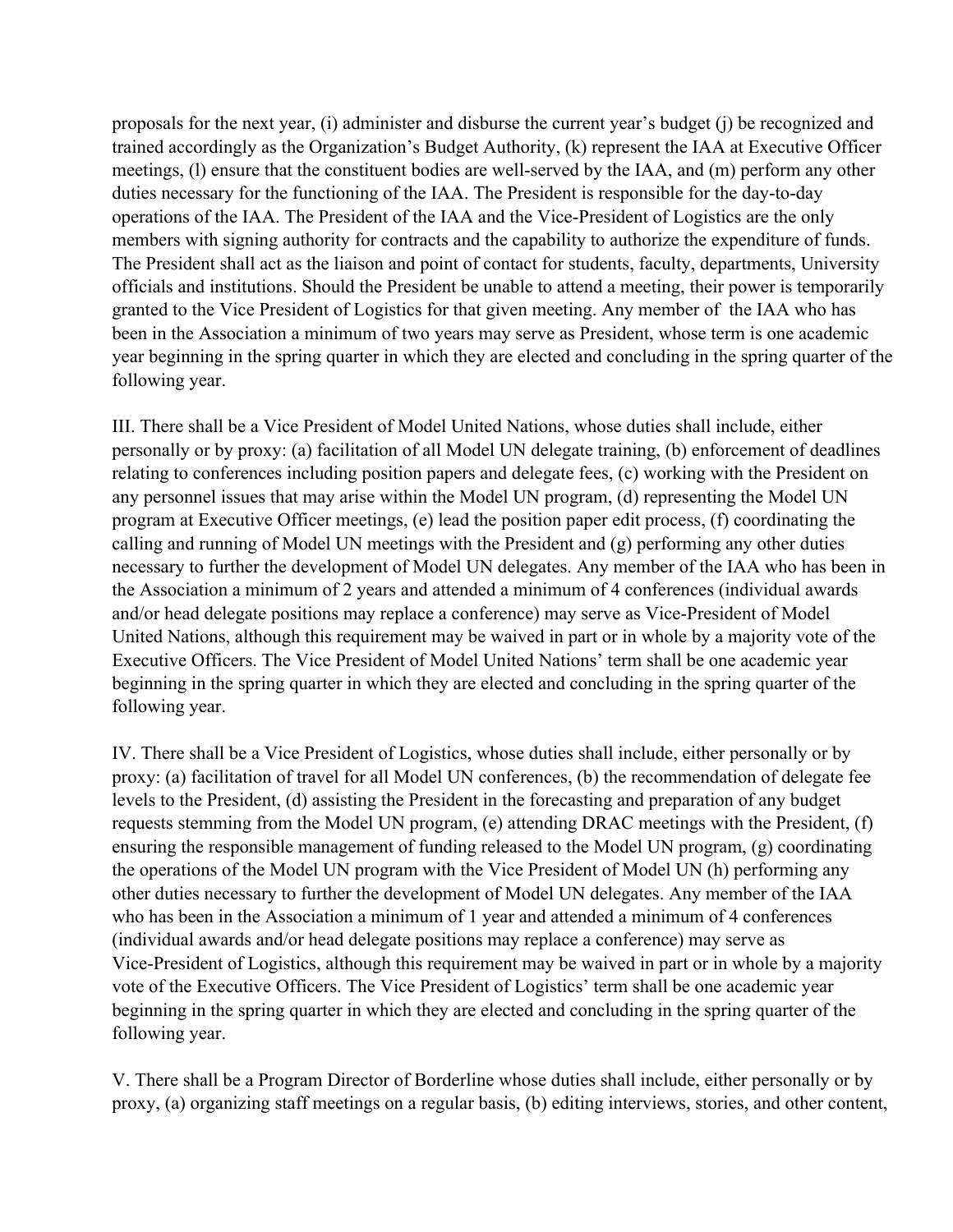proposals for the next year, (i) administer and disburse the current year's budget (j) be recognized and trained accordingly as the Organization's Budget Authority, (k) represent the IAA at Executive Officer meetings, (1) ensure that the constituent bodies are well-served by the IAA, and (m) perform any other duties necessary for the functioning of the IAA. The President is responsible for the day-to-day operations of the IAA. The President of the IAA and the Vice-President of Logistics are the only members with signing authority for contracts and the capability to authorize the expenditure of funds. The President shall act as the liaison and point of contact for students, faculty, departments, University officials and institutions. Should the President be unable to attend a meeting, their power is temporarily granted to the Vice President of Logistics for that given meeting. Any member of the IAA who has been in the Association a minimum of two years may serve as President, whose term is one academic year beginning in the spring quarter in which they are elected and concluding in the spring quarter of the following year.

III. There shall be a Vice President of Model United Nations, whose duties shall include, either personally or by proxy: (a) facilitation of all Model UN delegate training, (b) enforcement of deadlines relating to conferences including position papers and delegate fees, (c) working with the President on any personnel issues that may arise within the Model UN program, (d) representing the Model UN program at Executive Officer meetings, (e) lead the position paper edit process, (f) coordinating the calling and running of Model UN meetings with the President and (g) performing any other duties necessary to further the development of Model UN delegates. Any member of the IAA who has been in the Association a minimum of 2 years and attended a minimum of 4 conferences (individual awards and/or head delegate positions may replace a conference) may serve as Vice-President of Model United Nations, although this requirement may be waived in part or in whole by a majority vote of the Executive Officers. The Vice President of Model United Nations' term shall be one academic year beginning in the spring quarter in which they are elected and concluding in the spring quarter of the following year.

IV. There shall be a Vice President of Logistics, whose duties shall include, either personally or by proxy: (a) facilitation of travel for all Model UN conferences, (b) the recommendation of delegate fee levels to the President, (d) assisting the President in the forecasting and preparation of any budget requests stemming from the Model UN program, (e) attending DRAC meetings with the President, (f) ensuring the responsible management of funding released to the Model UN program, (g) coordinating the operations of the Model UN program with the Vice President of Model UN (h) performing any other duties necessary to further the development of Model UN delegates. Any member of the IAA who has been in the Association a minimum of 1 year and attended a minimum of 4 conferences (individual awards and/or head delegate positions may replace a conference) may serve as Vice-President of Logistics, although this requirement may be waived in part or in whole by a majority vote of the Executive Officers. The Vice President of Logistics' term shall be one academic year beginning in the spring quarter in which they are elected and concluding in the spring quarter of the following year.

V. There shall be a Program Director of Borderline whose duties shall include, either personally or by proxy, (a) organizing staff meetings on a regular basis, (b) editing interviews, stories, and other content,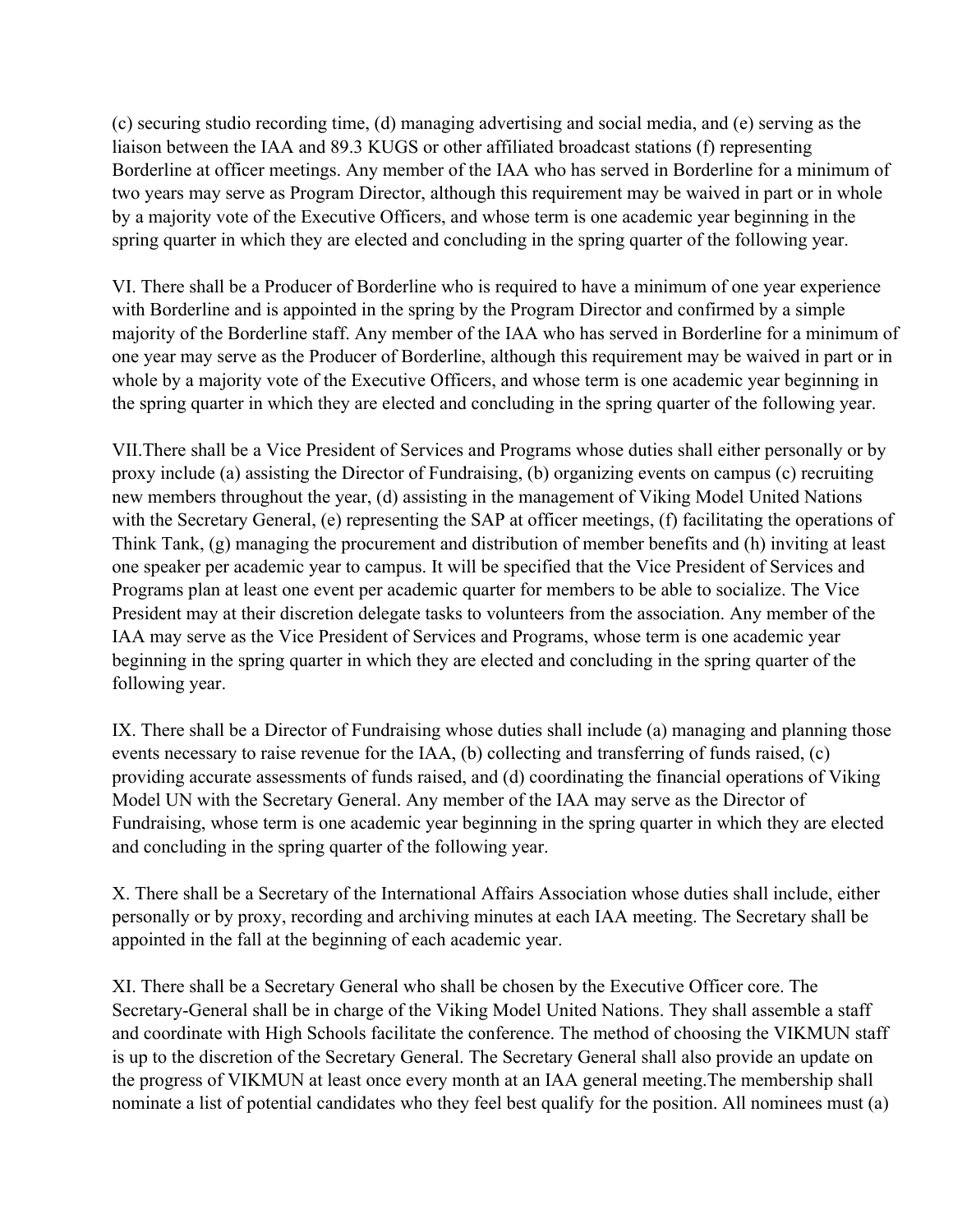(c) securing studio recording time, (d) managing advertising and social media, and (e) serving as the liaison between the IAA and 89.3 KUGS or other affiliated broadcast stations (f) representing Borderline at officer meetings. Any member of the IAA who has served in Borderline for a minimum of two years may serve as Program Director, although this requirement may be waived in part or in whole by a majority vote of the Executive Officers, and whose term is one academic year beginning in the spring quarter in which they are elected and concluding in the spring quarter of the following year.

VI. There shall be a Producer of Borderline who is required to have a minimum of one year experience with Borderline and is appointed in the spring by the Program Director and confirmed by a simple majority of the Borderline staff. Any member of the IAA who has served in Borderline for a minimum of one year may serve as the Producer of Borderline, although this requirement may be waived in part or in whole by a majority vote of the Executive Officers, and whose term is one academic year beginning in the spring quarter in which they are elected and concluding in the spring quarter of the following year.

VII.There shall be a Vice President of Services and Programs whose duties shall either personally or by proxy include (a) assisting the Director of Fundraising, (b) organizing events on campus (c) recruiting new members throughout the year, (d) assisting in the management of Viking Model United Nations with the Secretary General, (e) representing the SAP at officer meetings, (f) facilitating the operations of Think Tank, (g) managing the procurement and distribution of member benefits and (h) inviting at least one speaker per academic year to campus. It will be specified that the Vice President of Services and Programs plan at least one event per academic quarter for members to be able to socialize. The Vice President may at their discretion delegate tasks to volunteers from the association. Any member of the IAA may serve as the Vice President of Services and Programs, whose term is one academic year beginning in the spring quarter in which they are elected and concluding in the spring quarter of the following year.

IX. There shall be a Director of Fundraising whose duties shall include (a) managing and planning those events necessary to raise revenue for the IAA, (b) collecting and transferring of funds raised, (c) providing accurate assessments of funds raised, and (d) coordinating the financial operations of Viking Model UN with the Secretary General. Any member of the IAA may serve as the Director of Fundraising, whose term is one academic year beginning in the spring quarter in which they are elected and concluding in the spring quarter of the following year.

X. There shall be a Secretary of the International Affairs Association whose duties shall include, either personally or by proxy, recording and archiving minutes at each IAA meeting. The Secretary shall be appointed in the fall at the beginning of each academic year.

XI. There shall be a Secretary General who shall be chosen by the Executive Officer core. The Secretary-General shall be in charge of the Viking Model United Nations. They shall assemble a staff and coordinate with High Schools facilitate the conference. The method of choosing the VIKMUN staff is up to the discretion of the Secretary General. The Secretary General shall also provide an update on the progress of VIKMUN at least once every month at an IAA general meeting.The membership shall nominate a list of potential candidates who they feel best qualify for the position. All nominees must (a)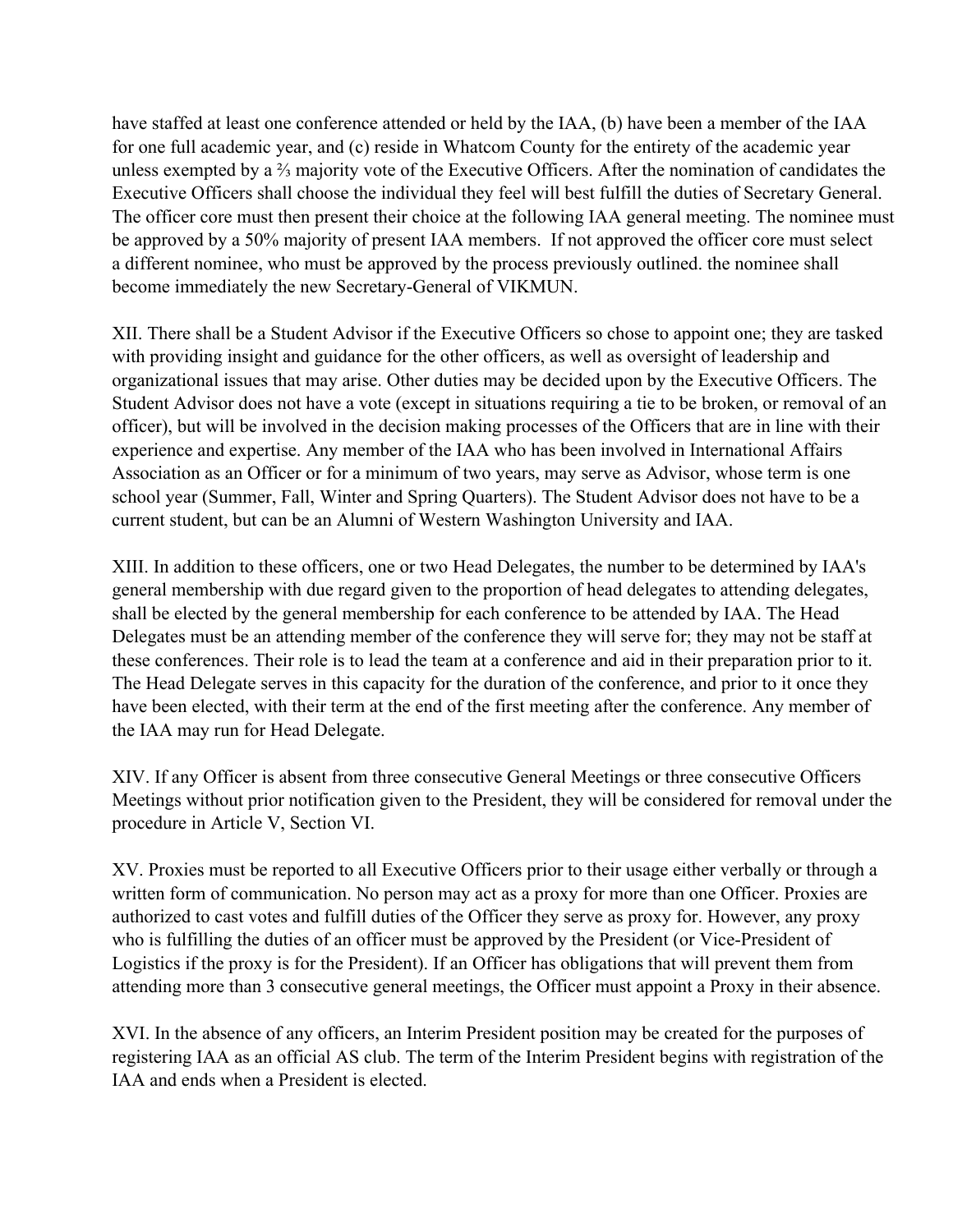have staffed at least one conference attended or held by the IAA, (b) have been a member of the IAA for one full academic year, and (c) reside in Whatcom County for the entirety of the academic year unless exempted by a ⅔ majority vote of the Executive Officers. After the nomination of candidates the Executive Officers shall choose the individual they feel will best fulfill the duties of Secretary General. The officer core must then present their choice at the following IAA general meeting. The nominee must be approved by a 50% majority of present IAA members. If not approved the officer core must select a different nominee, who must be approved by the process previously outlined. the nominee shall become immediately the new Secretary-General of VIKMUN.

XII. There shall be a Student Advisor if the Executive Officers so chose to appoint one; they are tasked with providing insight and guidance for the other officers, as well as oversight of leadership and organizational issues that may arise. Other duties may be decided upon by the Executive Officers. The Student Advisor does not have a vote (except in situations requiring a tie to be broken, or removal of an officer), but will be involved in the decision making processes of the Officers that are in line with their experience and expertise. Any member of the IAA who has been involved in International Affairs Association as an Officer or for a minimum of two years, may serve as Advisor, whose term is one school year (Summer, Fall, Winter and Spring Quarters). The Student Advisor does not have to be a current student, but can be an Alumni of Western Washington University and IAA.

XIII. In addition to these officers, one or two Head Delegates, the number to be determined by IAA's general membership with due regard given to the proportion of head delegates to attending delegates, shall be elected by the general membership for each conference to be attended by IAA. The Head Delegates must be an attending member of the conference they will serve for; they may not be staff at these conferences. Their role is to lead the team at a conference and aid in their preparation prior to it. The Head Delegate serves in this capacity for the duration of the conference, and prior to it once they have been elected, with their term at the end of the first meeting after the conference. Any member of the IAA may run for Head Delegate.

XIV. If any Officer is absent from three consecutive General Meetings or three consecutive Officers Meetings without prior notification given to the President, they will be considered for removal under the procedure in Article V, Section VI.

XV. Proxies must be reported to all Executive Officers prior to their usage either verbally or through a written form of communication. No person may act as a proxy for more than one Officer. Proxies are authorized to cast votes and fulfill duties of the Officer they serve as proxy for. However, any proxy who is fulfilling the duties of an officer must be approved by the President (or Vice-President of Logistics if the proxy is for the President). If an Officer has obligations that will prevent them from attending more than 3 consecutive general meetings, the Officer must appoint a Proxy in their absence.

XVI. In the absence of any officers, an Interim President position may be created for the purposes of registering IAA as an official AS club. The term of the Interim President begins with registration of the IAA and ends when a President is elected.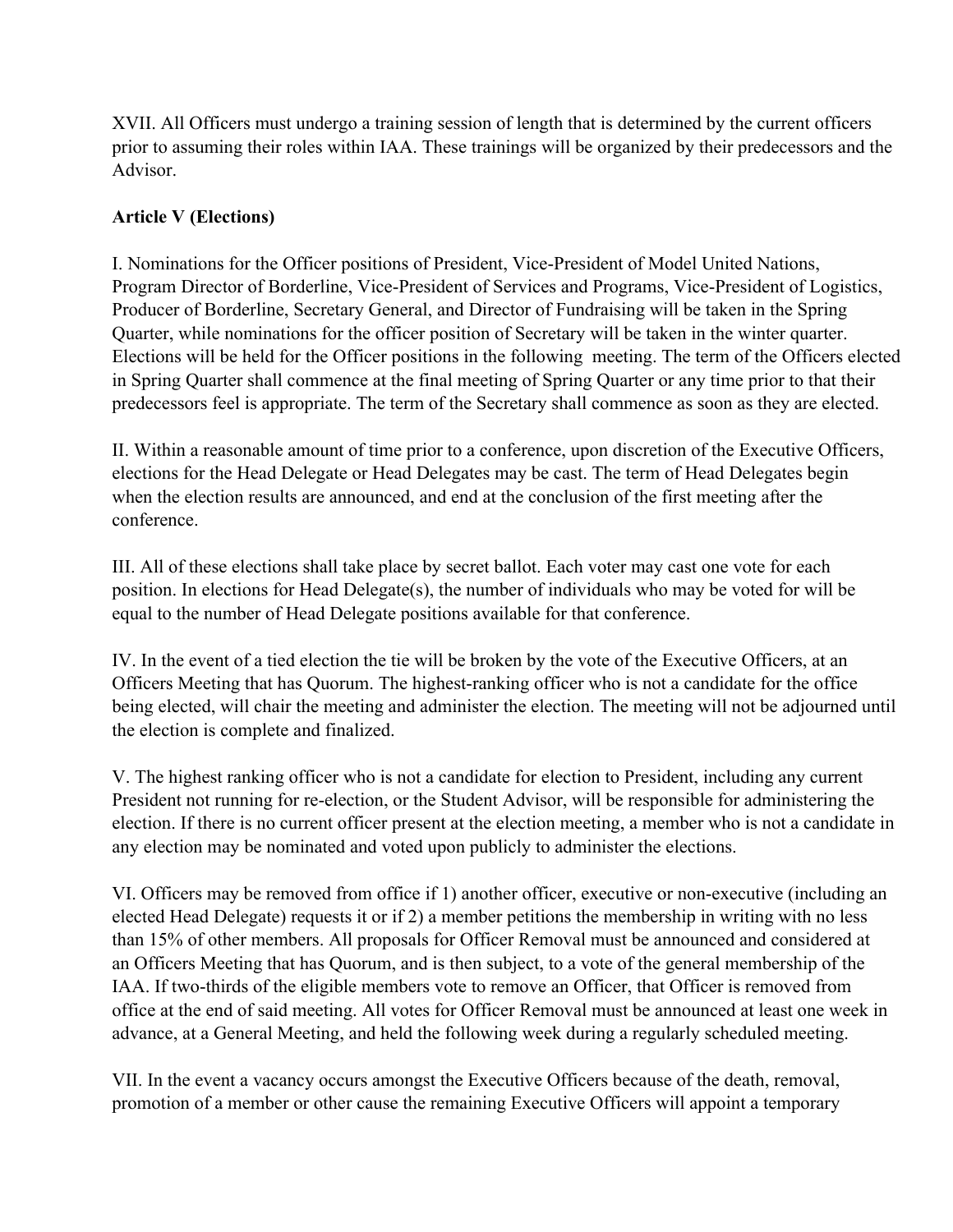XVII. All Officers must undergo a training session of length that is determined by the current officers prior to assuming their roles within IAA. These trainings will be organized by their predecessors and the Advisor.

## **Article V (Elections)**

I. Nominations for the Officer positions of President, Vice-President of Model United Nations, Program Director of Borderline, Vice-President of Services and Programs, Vice-President of Logistics, Producer of Borderline, Secretary General, and Director of Fundraising will be taken in the Spring Quarter, while nominations for the officer position of Secretary will be taken in the winter quarter. Elections will be held for the Officer positions in the following meeting. The term of the Officers elected in Spring Quarter shall commence at the final meeting of Spring Quarter or any time prior to that their predecessors feel is appropriate. The term of the Secretary shall commence as soon as they are elected.

II. Within a reasonable amount of time prior to a conference, upon discretion of the Executive Officers, elections for the Head Delegate or Head Delegates may be cast. The term of Head Delegates begin when the election results are announced, and end at the conclusion of the first meeting after the conference.

III. All of these elections shall take place by secret ballot. Each voter may cast one vote for each position. In elections for Head Delegate(s), the number of individuals who may be voted for will be equal to the number of Head Delegate positions available for that conference.

IV. In the event of a tied election the tie will be broken by the vote of the Executive Officers, at an Officers Meeting that has Quorum. The highest-ranking officer who is not a candidate for the office being elected, will chair the meeting and administer the election. The meeting will not be adjourned until the election is complete and finalized.

V. The highest ranking officer who is not a candidate for election to President, including any current President not running for re-election, or the Student Advisor, will be responsible for administering the election. If there is no current officer present at the election meeting, a member who is not a candidate in any election may be nominated and voted upon publicly to administer the elections.

VI. Officers may be removed from office if 1) another officer, executive or nonexecutive (including an elected Head Delegate) requests it or if 2) a member petitions the membership in writing with no less than 15% of other members. All proposals for Officer Removal must be announced and considered at an Officers Meeting that has Quorum, and is then subject, to a vote of the general membership of the IAA. If two-thirds of the eligible members vote to remove an Officer, that Officer is removed from office at the end of said meeting. All votes for Officer Removal must be announced at least one week in advance, at a General Meeting, and held the following week during a regularly scheduled meeting.

VII. In the event a vacancy occurs amongst the Executive Officers because of the death, removal, promotion of a member or other cause the remaining Executive Officers will appoint a temporary